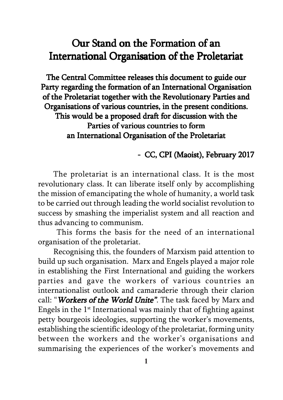## Our Stand on the Formation of an International Organisation of the Proletariat

The Central Committee releases this document to guide our Party regarding the formation of an International Organisation of the Proletariat together with the Revolutionary Parties and Organisations of various countries, in the present conditions. This would be a proposed draft for discussion with the Parties of various countries to form an International Organisation of the Proletariat

## - CC, CPI (Maoist), February 2017

The proletariat is an international class. It is the most revolutionary class. It can liberate itself only by accomplishing the mission of emancipating the whole of humanity, a world task to be carried out through leading the world socialist revolution to success by smashing the imperialist system and all reaction and thus advancing to communism.

 This forms the basis for the need of an international organisation of the proletariat.

Recognising this, the founders of Marxism paid attention to build up such organisation. Marx and Engels played a major role in establishing the First International and guiding the workers parties and gave the workers of various countries an internationalist outlook and camaraderie through their clarion call: "Workers of the World Unite". The task faced by Marx and Engels in the  $1<sup>st</sup>$  International was mainly that of fighting against petty bourgeois ideologies, supporting the worker's movements, establishing the scientific ideology of the proletariat, forming unity between the workers and the worker's organisations and summarising the experiences of the worker's movements and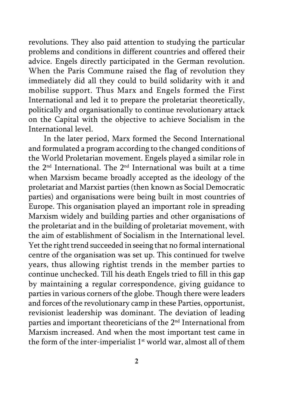revolutions. They also paid attention to studying the particular problems and conditions in different countries and offered their advice. Engels directly participated in the German revolution. When the Paris Commune raised the flag of revolution they immediately did all they could to build solidarity with it and mobilise support. Thus Marx and Engels formed the First International and led it to prepare the proletariat theoretically, politically and organisationally to continue revolutionary attack on the Capital with the objective to achieve Socialism in the International level.

In the later period, Marx formed the Second International and formulated a program according to the changed conditions of the World Proletarian movement. Engels played a similar role in the 2nd International. The 2nd International was built at a time when Marxism became broadly accepted as the ideology of the proletariat and Marxist parties (then known as Social Democratic parties) and organisations were being built in most countries of Europe. This organisation played an important role in spreading Marxism widely and building parties and other organisations of the proletariat and in the building of proletariat movement, with the aim of establishment of Socialism in the International level. Yet the right trend succeeded in seeing that no formal international centre of the organisation was set up. This continued for twelve years, thus allowing rightist trends in the member parties to continue unchecked. Till his death Engels tried to fill in this gap by maintaining a regular correspondence, giving guidance to parties in various corners of the globe. Though there were leaders and forces of the revolutionary camp in these Parties, opportunist, revisionist leadership was dominant. The deviation of leading parties and important theoreticians of the 2nd International from Marxism increased. And when the most important test came in the form of the inter-imperialist  $1<sup>st</sup>$  world war, almost all of them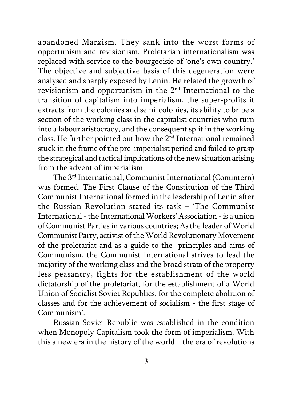abandoned Marxism. They sank into the worst forms of opportunism and revisionism. Proletarian internationalism was replaced with service to the bourgeoisie of 'one's own country.' The objective and subjective basis of this degeneration were analysed and sharply exposed by Lenin. He related the growth of revisionism and opportunism in the 2nd International to the transition of capitalism into imperialism, the super-profits it extracts from the colonies and semi-colonies, its ability to bribe a section of the working class in the capitalist countries who turn into a labour aristocracy, and the consequent split in the working class. He further pointed out how the 2nd International remained stuck in the frame of the pre-imperialist period and failed to grasp the strategical and tactical implications of the new situation arising from the advent of imperialism.

The 3rd International, Communist International (Comintern) was formed. The First Clause of the Constitution of the Third Communist International formed in the leadership of Lenin after the Russian Revolution stated its task – 'The Communist International - the International Workers' Association - is a union of Communist Parties in various countries; As the leader of World Communist Party, activist of the World Revolutionary Movement of the proletariat and as a guide to the principles and aims of Communism, the Communist International strives to lead the majority of the working class and the broad strata of the property less peasantry, fights for the establishment of the world dictatorship of the proletariat, for the establishment of a World Union of Socialist Soviet Republics, for the complete abolition of classes and for the achievement of socialism - the first stage of Communism'.

Russian Soviet Republic was established in the condition when Monopoly Capitalism took the form of imperialism. With this a new era in the history of the world – the era of revolutions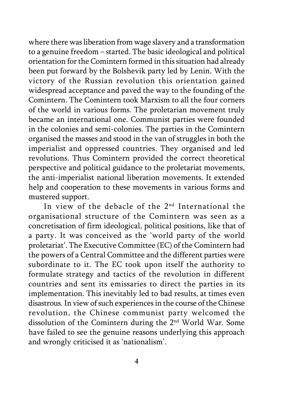where there was liberation from wage slavery and a transformation to a genuine freedom – started. The basic ideological and political orientation for the Comintern formed in this situation had already been put forward by the Bolshevik party led by Lenin. With the victory of the Russian revolution this orientation gained widespread acceptance and paved the way to the founding of the Comintern. The Comintern took Marxism to all the four corners of the world in various forms. The proletarian movement truly became an international one. Communist parties were founded in the colonies and semi-colonies. The parties in the Comintern organised the masses and stood in the van of struggles in both the imperialist and oppressed countries. They organised and led revolutions. Thus Comintern provided the correct theoretical perspective and political guidance to the proletariat movements, the anti-imperialist national liberation movements. It extended help and cooperation to these movements in various forms and mustered support.

In view of the debacle of the  $2<sup>nd</sup>$  International the organisational structure of the Comintern was seen as a concretisation of firm ideological, political positions, like that of a party. It was conceived as the 'world party of the world proletariat'. The Executive Committee (EC) of the Comintern had the powers of a Central Committee and the different parties were subordinate to it. The EC took upon itself the authority to formulate strategy and tactics of the revolution in different countries and sent its emissaries to direct the parties in its implementation. This inevitably led to bad results, at times even disastrous. In view of such experiences in the course of the Chinese revolution, the Chinese communist party welcomed the dissolution of the Comintern during the 2nd World War. Some have failed to see the genuine reasons underlying this approach and wrongly criticised it as 'nationalism'.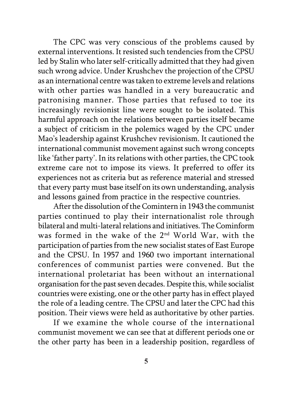The CPC was very conscious of the problems caused by external interventions. It resisted such tendencies from the CPSU led by Stalin who later self-critically admitted that they had given such wrong advice. Under Krushchev the projection of the CPSU as an international centre was taken to extreme levels and relations with other parties was handled in a very bureaucratic and patronising manner. Those parties that refused to toe its increasingly revisionist line were sought to be isolated. This harmful approach on the relations between parties itself became a subject of criticism in the polemics waged by the CPC under Mao's leadership against Krushchev revisionism. It cautioned the international communist movement against such wrong concepts like 'father party'. In its relations with other parties, the CPC took extreme care not to impose its views. It preferred to offer its experiences not as criteria but as reference material and stressed that every party must base itself on its own understanding, analysis and lessons gained from practice in the respective countries.

After the dissolution of the Comintern in 1943 the communist parties continued to play their internationalist role through bilateral and multi-lateral relations and initiatives. The Cominform was formed in the wake of the 2nd World War, with the participation of parties from the new socialist states of East Europe and the CPSU. In 1957 and 1960 two important international conferences of communist parties were convened. But the international proletariat has been without an international organisation for the past seven decades. Despite this, while socialist countries were existing, one or the other party has in effect played the role of a leading centre. The CPSU and later the CPC had this position. Their views were held as authoritative by other parties.

If we examine the whole course of the international communist movement we can see that at different periods one or the other party has been in a leadership position, regardless of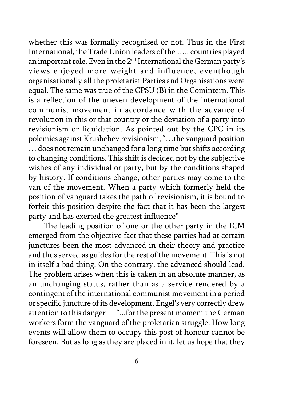whether this was formally recognised or not. Thus in the First International, the Trade Union leaders of the ….. countries played an important role. Even in the 2nd International the German party's views enjoyed more weight and influence, eventhough organisationally all the proletariat Parties and Organisations were equal. The same was true of the CPSU (B) in the Comintern. This is a reflection of the uneven development of the international communist movement in accordance with the advance of revolution in this or that country or the deviation of a party into revisionism or liquidation. As pointed out by the CPC in its polemics against Krushchev revisionism, "…the vanguard position … does not remain unchanged for a long time but shifts according to changing conditions. This shift is decided not by the subjective wishes of any individual or party, but by the conditions shaped by history. If conditions change, other parties may come to the van of the movement. When a party which formerly held the position of vanguard takes the path of revisionism, it is bound to forfeit this position despite the fact that it has been the largest party and has exerted the greatest influence"

The leading position of one or the other party in the ICM emerged from the objective fact that these parties had at certain junctures been the most advanced in their theory and practice and thus served as guides for the rest of the movement. This is not in itself a bad thing. On the contrary, the advanced should lead. The problem arises when this is taken in an absolute manner, as an unchanging status, rather than as a service rendered by a contingent of the international communist movement in a period or specific juncture of its development. Engel's very correctly drew attention to this danger — "...for the present moment the German workers form the vanguard of the proletarian struggle. How long events will allow them to occupy this post of honour cannot be foreseen. But as long as they are placed in it, let us hope that they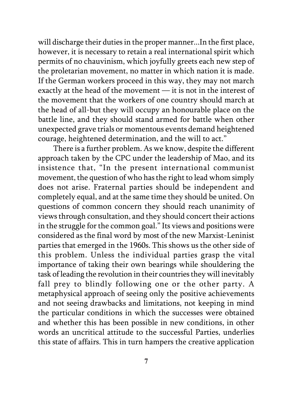will discharge their duties in the proper manner...In the first place, however, it is necessary to retain a real international spirit which permits of no chauvinism, which joyfully greets each new step of the proletarian movement, no matter in which nation it is made. If the German workers proceed in this way, they may not march exactly at the head of the movement — it is not in the interest of the movement that the workers of one country should march at the head of all-but they will occupy an honourable place on the battle line, and they should stand armed for battle when other unexpected grave trials or momentous events demand heightened courage, heightened determination, and the will to act."

There is a further problem. As we know, despite the different approach taken by the CPC under the leadership of Mao, and its insistence that, "In the present international communist movement, the question of who has the right to lead whom simply does not arise. Fraternal parties should be independent and completely equal, and at the same time they should be united. On questions of common concern they should reach unanimity of views through consultation, and they should concert their actions in the struggle for the common goal." Its views and positions were considered as the final word by most of the new Marxist-Leninist parties that emerged in the 1960s. This shows us the other side of this problem. Unless the individual parties grasp the vital importance of taking their own bearings while shouldering the task of leading the revolution in their countries they will inevitably fall prey to blindly following one or the other party. A metaphysical approach of seeing only the positive achievements and not seeing drawbacks and limitations, not keeping in mind the particular conditions in which the successes were obtained and whether this has been possible in new conditions, in other words an uncritical attitude to the successful Parties, underlies this state of affairs. This in turn hampers the creative application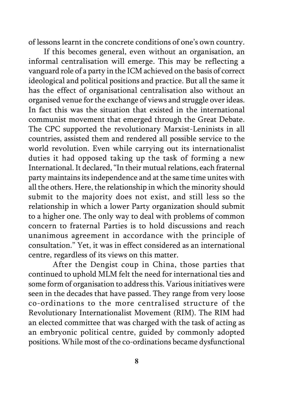of lessons learnt in the concrete conditions of one's own country.

If this becomes general, even without an organisation, an informal centralisation will emerge. This may be reflecting a vanguard role of a party in the ICM achieved on the basis of correct ideological and political positions and practice. But all the same it has the effect of organisational centralisation also without an organised venue for the exchange of views and struggle over ideas. In fact this was the situation that existed in the international communist movement that emerged through the Great Debate. The CPC supported the revolutionary Marxist-Leninists in all countries, assisted them and rendered all possible service to the world revolution. Even while carrying out its internationalist duties it had opposed taking up the task of forming a new International. It declared, "In their mutual relations, each fraternal party maintains its independence and at the same time unites with all the others. Here, the relationship in which the minority should submit to the majority does not exist, and still less so the relationship in which a lower Party organization should submit to a higher one. The only way to deal with problems of common concern to fraternal Parties is to hold discussions and reach unanimous agreement in accordance with the principle of consultation." Yet, it was in effect considered as an international centre, regardless of its views on this matter.

After the Dengist coup in China, those parties that continued to uphold MLM felt the need for international ties and some form of organisation to address this. Various initiatives were seen in the decades that have passed. They range from very loose co-ordinations to the more centralised structure of the Revolutionary Internationalist Movement (RIM). The RIM had an elected committee that was charged with the task of acting as an embryonic political centre, guided by commonly adopted positions. While most of the co-ordinations became dysfunctional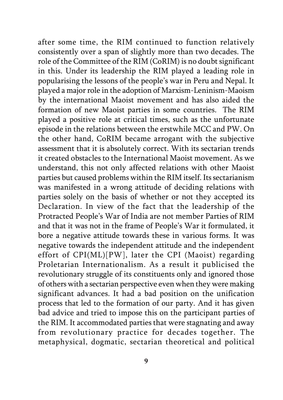after some time, the RIM continued to function relatively consistently over a span of slightly more than two decades. The role of the Committee of the RIM (CoRIM) is no doubt significant in this. Under its leadership the RIM played a leading role in popularising the lessons of the people's war in Peru and Nepal. It played a major role in the adoption of Marxism-Leninism-Maoism by the international Maoist movement and has also aided the formation of new Maoist parties in some countries. The RIM played a positive role at critical times, such as the unfortunate episode in the relations between the erstwhile MCC and PW. On the other hand, CoRIM became arrogant with the subjective assessment that it is absolutely correct. With its sectarian trends it created obstacles to the International Maoist movement. As we understand, this not only affected relations with other Maoist parties but caused problems within the RIM itself. Its sectarianism was manifested in a wrong attitude of deciding relations with parties solely on the basis of whether or not they accepted its Declaration. In view of the fact that the leadership of the Protracted People's War of India are not member Parties of RIM and that it was not in the frame of People's War it formulated, it bore a negative attitude towards these in various forms. It was negative towards the independent attitude and the independent effort of CPI(ML)[PW], later the CPI (Maoist) regarding Proletarian Internationalism. As a result it publicised the revolutionary struggle of its constituents only and ignored those of others with a sectarian perspective even when they were making significant advances. It had a bad position on the unification process that led to the formation of our party. And it has given bad advice and tried to impose this on the participant parties of the RIM. It accommodated parties that were stagnating and away from revolutionary practice for decades together. The metaphysical, dogmatic, sectarian theoretical and political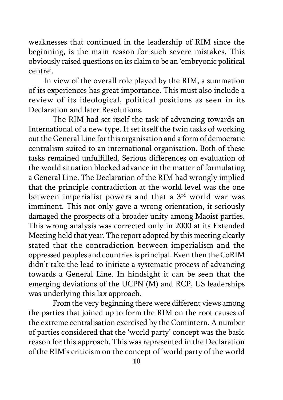weaknesses that continued in the leadership of RIM since the beginning, is the main reason for such severe mistakes. This obviously raised questions on its claim to be an 'embryonic political centre'.

In view of the overall role played by the RIM, a summation of its experiences has great importance. This must also include a review of its ideological, political positions as seen in its Declaration and later Resolutions.

The RIM had set itself the task of advancing towards an International of a new type. It set itself the twin tasks of working out the General Line for this organisation and a form of democratic centralism suited to an international organisation. Both of these tasks remained unfulfilled. Serious differences on evaluation of the world situation blocked advance in the matter of formulating a General Line. The Declaration of the RIM had wrongly implied that the principle contradiction at the world level was the one between imperialist powers and that a 3<sup>rd</sup> world war was imminent. This not only gave a wrong orientation, it seriously damaged the prospects of a broader unity among Maoist parties. This wrong analysis was corrected only in 2000 at its Extended Meeting held that year. The report adopted by this meeting clearly stated that the contradiction between imperialism and the oppressed peoples and countries is principal. Even then the CoRIM didn't take the lead to initiate a systematic process of advancing towards a General Line. In hindsight it can be seen that the emerging deviations of the UCPN (M) and RCP, US leaderships was underlying this lax approach.

From the very beginning there were different views among the parties that joined up to form the RIM on the root causes of the extreme centralisation exercised by the Comintern. A number of parties considered that the 'world party' concept was the basic reason for this approach. This was represented in the Declaration of the RIM's criticism on the concept of 'world party of the world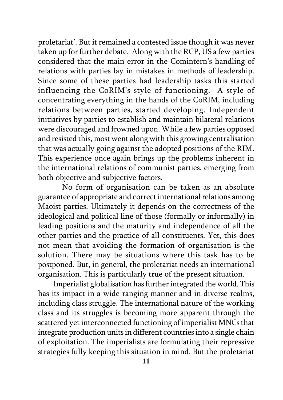proletariat'. But it remained a contested issue though it was never taken up for further debate. Along with the RCP, US a few parties considered that the main error in the Comintern's handling of relations with parties lay in mistakes in methods of leadership. Since some of these parties had leadership tasks this started influencing the CoRIM's style of functioning. A style of concentrating everything in the hands of the CoRIM, including relations between parties, started developing. Independent initiatives by parties to establish and maintain bilateral relations were discouraged and frowned upon. While a few parties opposed and resisted this, most went along with this growing centralisation that was actually going against the adopted positions of the RIM. This experience once again brings up the problems inherent in the international relations of communist parties, emerging from both objective and subjective factors.

No form of organisation can be taken as an absolute guarantee of appropriate and correct international relations among Maoist parties. Ultimately it depends on the correctness of the ideological and political line of those (formally or informally) in leading positions and the maturity and independence of all the other parties and the practice of all constituents. Yet, this does not mean that avoiding the formation of organisation is the solution. There may be situations where this task has to be postponed. But, in general, the proletariat needs an international organisation. This is particularly true of the present situation.

Imperialist globalisation has further integrated the world. This has its impact in a wide ranging manner and in diverse realms, including class struggle. The international nature of the working class and its struggles is becoming more apparent through the scattered yet interconnected functioning of imperialist MNCs that integrate production units in different countries into a single chain of exploitation. The imperialists are formulating their repressive strategies fully keeping this situation in mind. But the proletariat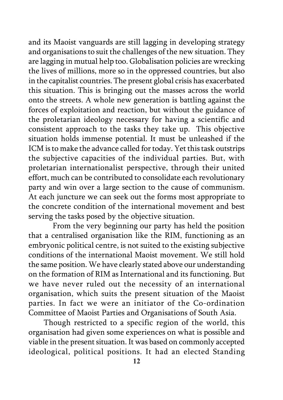and its Maoist vanguards are still lagging in developing strategy and organisations to suit the challenges of the new situation. They are lagging in mutual help too. Globalisation policies are wrecking the lives of millions, more so in the oppressed countries, but also in the capitalist countries. The present global crisis has exacerbated this situation. This is bringing out the masses across the world onto the streets. A whole new generation is battling against the forces of exploitation and reaction, but without the guidance of the proletarian ideology necessary for having a scientific and consistent approach to the tasks they take up. This objective situation holds immense potential. It must be unleashed if the ICM is to make the advance called for today. Yet this task outstrips the subjective capacities of the individual parties. But, with proletarian internationalist perspective, through their united effort, much can be contributed to consolidate each revolutionary party and win over a large section to the cause of communism. At each juncture we can seek out the forms most appropriate to the concrete condition of the international movement and best serving the tasks posed by the objective situation.

From the very beginning our party has held the position that a centralised organisation like the RIM, functioning as an embryonic political centre, is not suited to the existing subjective conditions of the international Maoist movement. We still hold the same position. We have clearly stated above our understanding on the formation of RIM as International and its functioning. But we have never ruled out the necessity of an international organisation, which suits the present situation of the Maoist parties. In fact we were an initiator of the Co-ordination Committee of Maoist Parties and Organisations of South Asia.

Though restricted to a specific region of the world, this organisation had given some experiences on what is possible and viable in the present situation. It was based on commonly accepted ideological, political positions. It had an elected Standing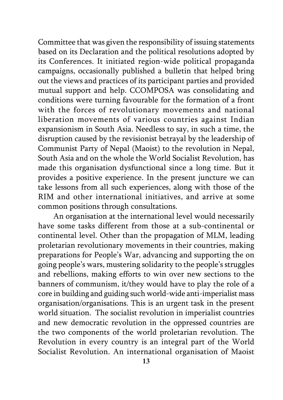Committee that was given the responsibility of issuing statements based on its Declaration and the political resolutions adopted by its Conferences. It initiated region-wide political propaganda campaigns, occasionally published a bulletin that helped bring out the views and practices of its participant parties and provided mutual support and help. CCOMPOSA was consolidating and conditions were turning favourable for the formation of a front with the forces of revolutionary movements and national liberation movements of various countries against Indian expansionism in South Asia. Needless to say, in such a time, the disruption caused by the revisionist betrayal by the leadership of Communist Party of Nepal (Maoist) to the revolution in Nepal, South Asia and on the whole the World Socialist Revolution, has made this organisation dysfunctional since a long time. But it provides a positive experience. In the present juncture we can take lessons from all such experiences, along with those of the RIM and other international initiatives, and arrive at some common positions through consultations.

An organisation at the international level would necessarily have some tasks different from those at a sub-continental or continental level. Other than the propagation of MLM, leading proletarian revolutionary movements in their countries, making preparations for People's War, advancing and supporting the on going people's wars, mustering solidarity to the people's struggles and rebellions, making efforts to win over new sections to the banners of communism, it/they would have to play the role of a core in building and guiding such world-wide anti-imperialist mass organisation/organisations. This is an urgent task in the present world situation. The socialist revolution in imperialist countries and new democratic revolution in the oppressed countries are the two components of the world proletarian revolution. The Revolution in every country is an integral part of the World Socialist Revolution. An international organisation of Maoist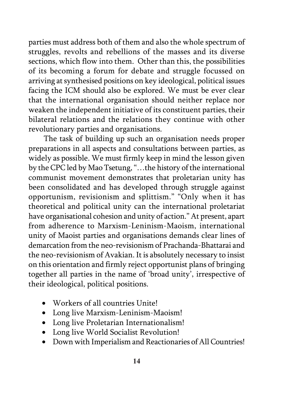parties must address both of them and also the whole spectrum of struggles, revolts and rebellions of the masses and its diverse sections, which flow into them. Other than this, the possibilities of its becoming a forum for debate and struggle focussed on arriving at synthesised positions on key ideological, political issues facing the ICM should also be explored. We must be ever clear that the international organisation should neither replace nor weaken the independent initiative of its constituent parties, their bilateral relations and the relations they continue with other revolutionary parties and organisations.

The task of building up such an organisation needs proper preparations in all aspects and consultations between parties, as widely as possible. We must firmly keep in mind the lesson given by the CPC led by Mao Tsetung, "…the history of the international communist movement demonstrates that proletarian unity has been consolidated and has developed through struggle against opportunism, revisionism and splittism." "Only when it has theoretical and political unity can the international proletariat have organisational cohesion and unity of action." At present, apart from adherence to Marxism-Leninism-Maoism, international unity of Maoist parties and organisations demands clear lines of demarcation from the neo-revisionism of Prachanda-Bhattarai and the neo-revisionism of Avakian. It is absolutely necessary to insist on this orientation and firmly reject opportunist plans of bringing together all parties in the name of 'broad unity', irrespective of their ideological, political positions.

- Workers of all countries Unite!
- Long live Marxism-Leninism-Maoism!
- Long live Proletarian Internationalism!
- Long live World Socialist Revolution!
- Down with Imperialism and Reactionaries of All Countries!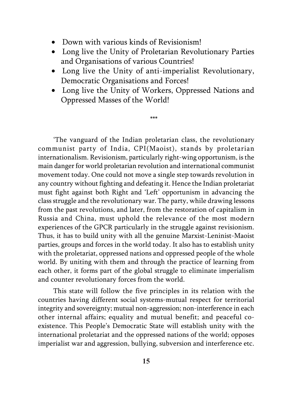- Down with various kinds of Revisionism!
- Long live the Unity of Proletarian Revolutionary Parties and Organisations of various Countries!
- Long live the Unity of anti-imperialist Revolutionary, Democratic Organisations and Forces!
- Long live the Unity of Workers, Oppressed Nations and Oppressed Masses of the World!

\*\*\*

'The vanguard of the Indian proletarian class, the revolutionary communist party of India, CPI(Maoist), stands by proletarian internationalism. Revisionism, particularly right-wing opportunism, is the main danger for world proletarian revolution and international communist movement today. One could not move a single step towards revolution in any country without fighting and defeating it. Hence the Indian proletariat must fight against both Right and 'Left' opportunism in advancing the class struggle and the revolutionary war. The party, while drawing lessons from the past revolutions, and later, from the restoration of capitalism in Russia and China, must uphold the relevance of the most modern experiences of the GPCR particularly in the struggle against revisionism. Thus, it has to build unity with all the genuine Marxist-Leninist-Maoist parties, groups and forces in the world today. It also has to establish unity with the proletariat, oppressed nations and oppressed people of the whole world. By uniting with them and through the practice of learning from each other, it forms part of the global struggle to eliminate imperialism and counter revolutionary forces from the world.

This state will follow the five principles in its relation with the countries having different social systems-mutual respect for territorial integrity and sovereignty; mutual non-aggression; non-interference in each other internal affairs; equality and mutual benefit; and peaceful coexistence. This People's Democratic State will establish unity with the international proletariat and the oppressed nations of the world; opposes imperialist war and aggression, bullying, subversion and interference etc.